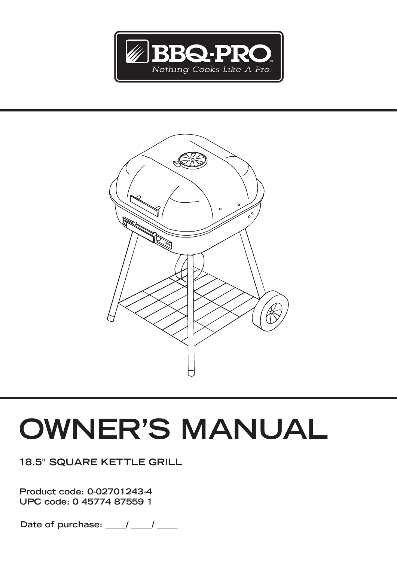



# **OWNER'S MANUAL**

**18.5" SQUARE KETTLE GRILL**

**Product code: 0-02701243-4 UPC code: 0 45774 87559 1**

Date of purchase: \_\_\_\_\_/ \_\_\_\_\_/ \_\_\_\_\_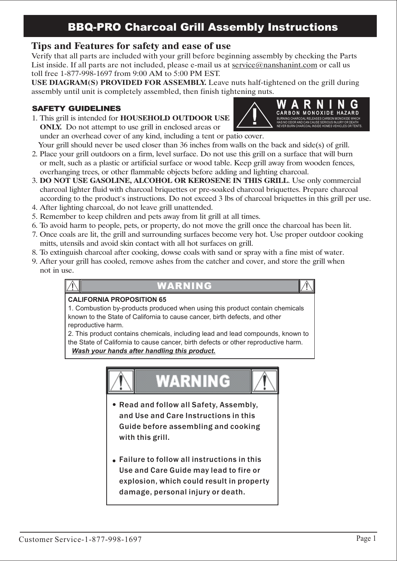## **Tips and Features for safety and ease of use**

Verify that all parts are included with your grill before beginning assembly by checking the Parts List inside. If all parts are not included, please e-mail us at service@nanshanint.com or call us toll free 1-877-998-1697 from 9:00 AM to 5:00 PM EST.

SAFETY GUIDELINES<br>
1. This grill is intended for HOUSEHOLD OUTDOOR USE USE DIAGRAM(S) PROVIDED FOR ASSEMBLY. Leave nuts half-tightened on the grill during

#### *SAFETY GUIDELINES*

1. This grill is intended for **HOUSEHOLD OUTDOOR USE** ONLY. Do not attempt to use grill in enclosed areas or under an overhead cover of any kind, including a tent or patio cover.



Your grill should never be used closer than 36 inches from walls on the back and side(s) of grill. 2. Place your grill outdoors on a firm, level surface. Do not use this grill on a surface that will burn or melt, such as a plastic or artificial surface or wood table. Keep grill away from wooden fences,

- overhanging trees, or other flammable objects before adding and lighting charcoal.
- 3. DO NOT USE GASOLINE, ALCOHOL OR KEROSENE IN THIS GRILL. Use only commercial charcoal lighter fluid with charcoal briquettes or pre-soaked charcoal briquettes. Prepare charcoal according to the product's instructions. Do not exceed 3 lbs of charcoal briquettes in this grill per use.
- 4. After lighting charcoal, do not leave grill unattended.
- 5. Remember to keep children and pets away from lit grill at all times.
- 6. To avoid harm to people, pets, or property, do not move the grill once the charcoal has been lit.
- 7. Once coals are lit, the grill and surrounding surfaces become very hot. Use proper outdoor cooking mitts, utensils and avoid skin contact with all hot surfaces on grill.
- 8. To extinguish charcoal after cooking, dowse coals with sand or spray with a fine mist of water.
- 9. After your grill has cooled, remove ashes from the catcher and cover, and store the grill when not in use.

#### WARNING

#### **CALIFORNIA PROPOSITION 65**

1. Combustion by-products produced when using this product contain chemicals known to the State of California to cause cancer, birth defects, and other reproductive harm.

2. This product contains chemicals, including lead and lead compounds, known to the State of California to cause cancer, birth defects or other reproductive harm. *Wash your hands after handling this product***.**



- Read and follow all Safety, Assembly, and Use and Care Instructions in this Guide before assembling and cooking with this grill.
- Failure to follow all instructions in this Use and Care Guide may lead to fire or explosion, which could result in property damage, personal injury or death.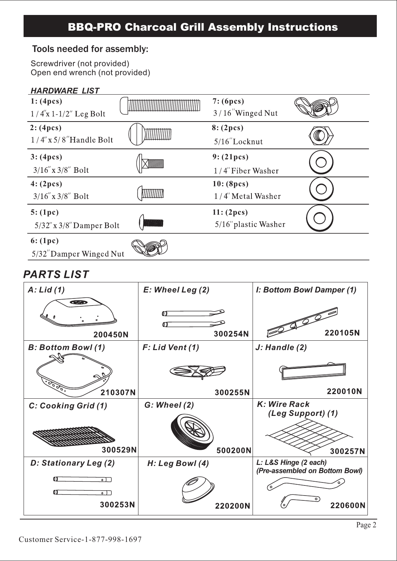## Tools needed for assembly:

Screwdriver (not provided) Open end wrench (not provided)

#### *HARDWARE LIST*



## **PARTS LIST**

| $A:$ Lid $(1)$                                     | E: Wheel Leg (2)  | I: Bottom Bowl Damper (1)                               |
|----------------------------------------------------|-------------------|---------------------------------------------------------|
| <b>CERED</b><br>200450N                            | m<br>ഩ<br>300254N | 220105N                                                 |
| <b>B: Bottom Bowl (1)</b>                          | F: Lid Vent (1)   | J: Handle (2)                                           |
|                                                    |                   |                                                         |
| 210307N                                            | 300255N           | 220010N                                                 |
| C: Cooking Grid (1)                                | $G:$ Wheel $(2)$  | K: Wire Rack<br>(Leg Support) (1)                       |
|                                                    |                   |                                                         |
| 300529N                                            | 500200N           | 300257N                                                 |
| D: Stationary Leg (2)                              | H: Leg Bowl (4)   | L: L&S Hinge (2 each)<br>(Pre-assembled on Bottom Bowl) |
| ഩ<br>$\circ$ ) $\Box$<br>்                         |                   |                                                         |
| $\overline{\cdot}$ ) $\overline{\cdot}$<br>300253N | 220200N           | 220600N                                                 |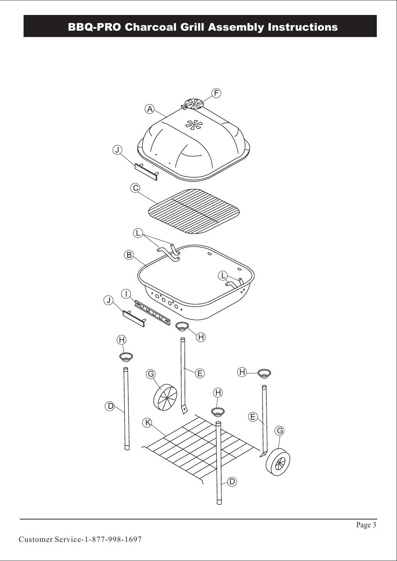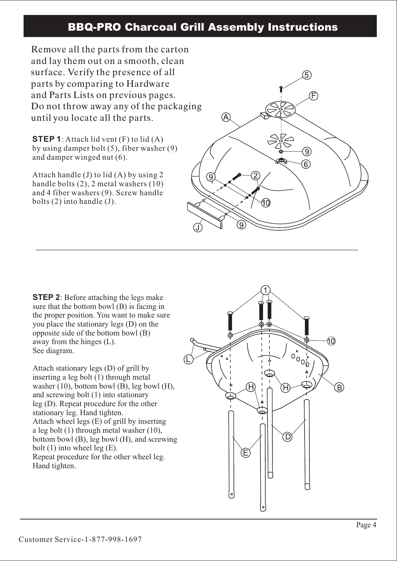Remove all the parts from the carton and lay them out on a smooth, clean surface. Verify the presence of all parts by comparing to Hardware and Parts Lists on previous pages. Do not throw away any of the packaging until you locate all the parts.

**STEP 1**: Attach lid vent (F) to lid (A) by using damper bolt (5), fiber washer (9) and damper winged nut (6).

Attach handle (J) to lid (A) by using 2 handle bolts (2), 2 metal washers (10) and 4 fiber washers (9). Screw handle bolts (2) into handle (J).



**STEP 2**: Before attaching the legs make sure that the bottom bowl (B) is facing in the proper position. You want to make sure you place the stationary legs (D) on the opposite side of the bottom bowl (B) away from the hinges (L). See diagram.

Attach stationary legs (D) of grill by inserting a leg bolt (1) through metal washer  $(10)$ , bottom bowl  $(B)$ , leg bowl  $(H)$ , and screwing bolt (1) into stationary leg (D). Repeat procedure for the other stationary leg. Hand tighten. Attach wheel legs (E) of grill by inserting a leg bolt (1) through metal washer (10), bottom bowl (B), leg bowl (H), and screwing bolt (1) into wheel leg (E). Repeat procedure for the other wheel leg. Hand tighten.

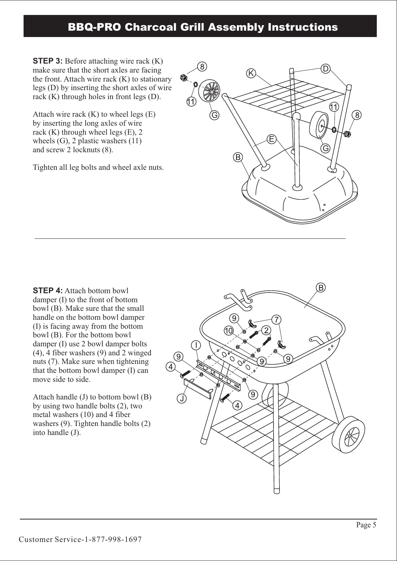**STEP 3:** Before attaching wire rack (K) make sure that the short axles are facing the front. Attach wire rack (K) to stationary legs (D) by inserting the short axles of wire rack (K) through holes in front legs (D).

Attach wire rack  $(K)$  to wheel legs  $(E)$ by inserting the long axles of wire rack (K) through wheel legs (E), 2 wheels (G), 2 plastic washers (11) and screw 2 locknuts (8).

Tighten all leg bolts and wheel axle nuts.



**STEP 4:** Attach bottom bowl damper (I) to the front of bottom bowl (B). Make sure that the small handle on the bottom bowl damper (I) is facing away from the bottom bowl (B). For the bottom bowl damper (I) use 2 bowl damper bolts (4), 4 fiber washers (9) and 2 winged nuts (7). Make sure when tightening that the bottom bowl damper (I) can move side to side.

Attach handle (J) to bottom bowl (B) by using two handle bolts (2), two metal washers (10) and 4 fiber washers (9). Tighten handle bolts (2) into handle (J).

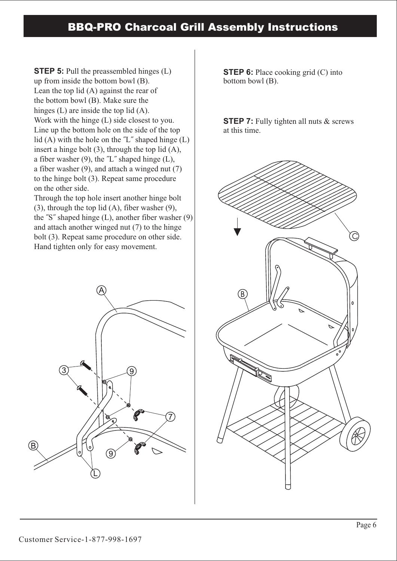**STEP 5:** Pull the preassembled hinges (L) up from inside the bottom bowl (B). Lean the top lid (A) against the rear of the bottom bowl (B). Make sure the hinges (L) are inside the top lid (A). Work with the hinge (L) side closest to you. Line up the bottom hole on the side of the top lid  $(A)$  with the hole on the  $'L^r$  shaped hinge  $(L)$ insert a hinge bolt (3), through the top lid (A), a fiber washer  $(9)$ , the  $'L$  shaped hinge  $(L)$ , a fiber washer (9), and attach a winged nut (7) to the hinge bolt (3). Repeat same procedure on the other side.

Through the top hole insert another hinge bolt (3), through the top lid (A), fiber washer (9), the "S" shaped hinge (L), another fiber washer (9) and attach another winged nut (7) to the hinge bolt (3). Repeat same procedure on other side. Hand tighten only for easy movement.



**STEP 6:** Place cooking grid (C) into bottom bowl (B).

**STEP 7:** Fully tighten all nuts & screws at this time.

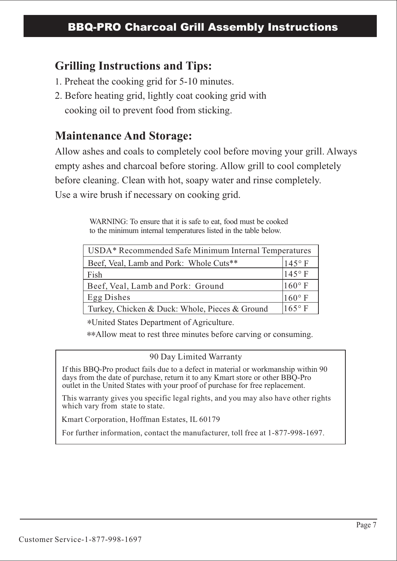## **Grilling Instructions and Tips:**

- 1. Preheat the cooking grid for 5-10 minutes.
- 2. Before heating grid, lightly coat cooking grid with cooking oil to prevent food from sticking.

# **Maintenance And Storage:**

Allow ashes and coals to completely cool before moving your grill. Always empty ashes and charcoal before storing. Allow grill to cool completely before cleaning. Clean with hot, soapy water and rinse completely. Use a wire brush if necessary on cooking grid.

> WARNING: To ensure that it is safe to eat, food must be cooked to the minimum internal temperatures listed in the table below.

| USDA* Recommended Safe Minimum Internal Temperatures |                 |  |
|------------------------------------------------------|-----------------|--|
| Beef, Veal, Lamb and Pork: Whole Cuts**              | $145°$ F        |  |
| Fish                                                 | $145^\circ$ F   |  |
| Beef, Veal, Lamb and Pork: Ground                    | $160^{\circ}$ F |  |
| Egg Dishes                                           | $160^\circ$ F   |  |
| Turkey, Chicken & Duck: Whole, Pieces & Ground       | $165^\circ$ F   |  |

\*United States Department of Agriculture.

\*\*Allow meat to rest three minutes before carving or consuming.

### 90 Day Limited Warranty

If this BBQ-Pro product fails due to a defect in material or workmanship within 90 days from the date of purchase, return it to any Kmart store or other BBQ-Pro outlet in the United States with your proof of purchase for free replacement.

This warranty gives you specific legal rights, and you may also have other rights which vary from state to state.

Kmart Corporation, Hoffman Estates, IL 60179

For further information, contact the manufacturer, toll free at 1-877-998-1697.